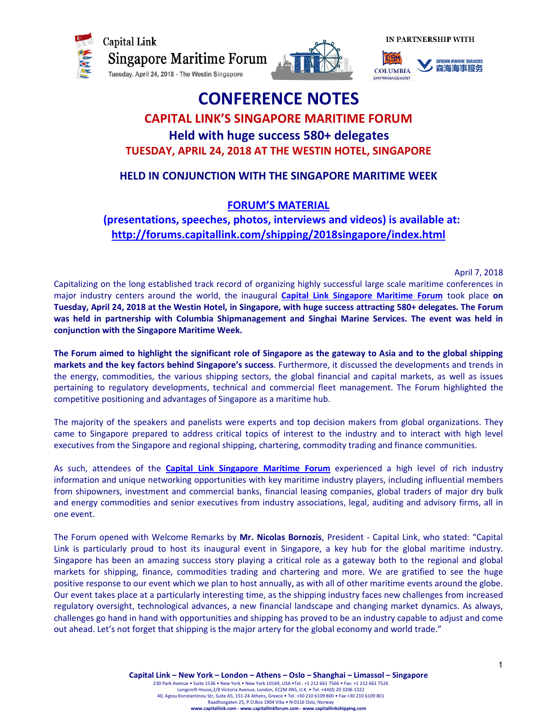







# CONFERENCE NOTES CAPITAL LINK'S SINGAPORE MARITIME FORUM

Held with huge success 580+ delegates TUESDAY, APRIL 24, 2018 AT THE WESTIN HOTEL, SINGAPORE

# HELD IN CONJUNCTION WITH THE SINGAPORE MARITIME WEEK

# FORUM'S MATERIAL

# (presentations, speeches, photos, interviews and videos) is available at: http://forums.capitallink.com/shipping/2018singapore/index.html

April 7, 2018

Capitalizing on the long established track record of organizing highly successful large scale maritime conferences in major industry centers around the world, the inaugural **Capital Link Singapore Maritime Forum** took place on Tuesday, April 24, 2018 at the Westin Hotel, in Singapore, with huge success attracting 580+ delegates. The Forum was held in partnership with Columbia Shipmanagement and Singhai Marine Services. The event was held in conjunction with the Singapore Maritime Week.

The Forum aimed to highlight the significant role of Singapore as the gateway to Asia and to the global shipping markets and the key factors behind Singapore's success. Furthermore, it discussed the developments and trends in the energy, commodities, the various shipping sectors, the global financial and capital markets, as well as issues pertaining to regulatory developments, technical and commercial fleet management. The Forum highlighted the competitive positioning and advantages of Singapore as a maritime hub.

The majority of the speakers and panelists were experts and top decision makers from global organizations. They came to Singapore prepared to address critical topics of interest to the industry and to interact with high level executives from the Singapore and regional shipping, chartering, commodity trading and finance communities.

As such, attendees of the Capital Link Singapore Maritime Forum experienced a high level of rich industry information and unique networking opportunities with key maritime industry players, including influential members from shipowners, investment and commercial banks, financial leasing companies, global traders of major dry bulk and energy commodities and senior executives from industry associations, legal, auditing and advisory firms, all in one event.

The Forum opened with Welcome Remarks by Mr. Nicolas Bornozis, President - Capital Link, who stated: "Capital Link is particularly proud to host its inaugural event in Singapore, a key hub for the global maritime industry. Singapore has been an amazing success story playing a critical role as a gateway both to the regional and global markets for shipping, finance, commodities trading and chartering and more. We are gratified to see the huge positive response to our event which we plan to host annually, as with all of other maritime events around the globe. Our event takes place at a particularly interesting time, as the shipping industry faces new challenges from increased regulatory oversight, technological advances, a new financial landscape and changing market dynamics. As always, challenges go hand in hand with opportunities and shipping has proved to be an industry capable to adjust and come out ahead. Let's not forget that shipping is the major artery for the global economy and world trade."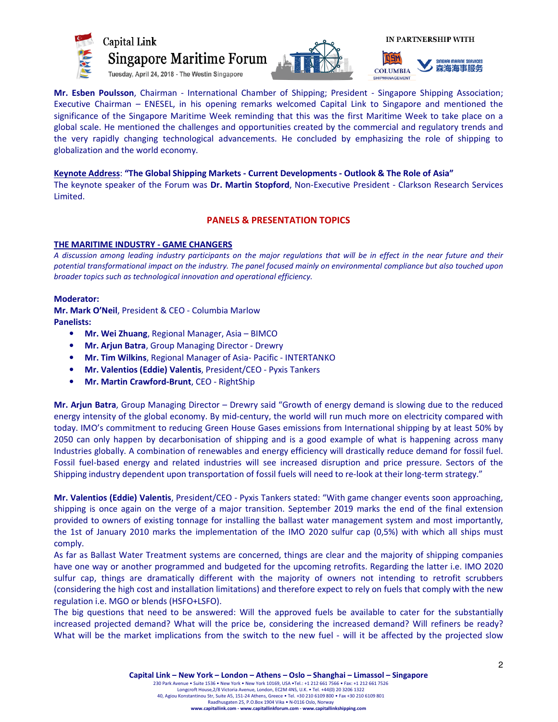





Mr. Esben Poulsson, Chairman - International Chamber of Shipping; President - Singapore Shipping Association; Executive Chairman – ENESEL, in his opening remarks welcomed Capital Link to Singapore and mentioned the significance of the Singapore Maritime Week reminding that this was the first Maritime Week to take place on a global scale. He mentioned the challenges and opportunities created by the commercial and regulatory trends and the very rapidly changing technological advancements. He concluded by emphasizing the role of shipping to globalization and the world economy.

# Keynote Address: "The Global Shipping Markets - Current Developments - Outlook & The Role of Asia" The keynote speaker of the Forum was Dr. Martin Stopford, Non-Executive President - Clarkson Research Services Limited.

# PANELS & PRESENTATION TOPICS

# THE MARITIME INDUSTRY - GAME CHANGERS

A discussion among leading industry participants on the major regulations that will be in effect in the near future and their potential transformational impact on the industry. The panel focused mainly on environmental compliance but also touched upon broader topics such as technological innovation and operational efficiency.

# Moderator:

Mr. Mark O'Neil, President & CEO - Columbia Marlow Panelists:

- Mr. Wei Zhuang, Regional Manager, Asia BIMCO
- Mr. Arjun Batra, Group Managing Director Drewry
- Mr. Tim Wilkins, Regional Manager of Asia- Pacific INTERTANKO
- Mr. Valentios (Eddie) Valentis, President/CEO Pyxis Tankers
- Mr. Martin Crawford-Brunt, CEO RightShip

Mr. Arjun Batra, Group Managing Director - Drewry said "Growth of energy demand is slowing due to the reduced energy intensity of the global economy. By mid-century, the world will run much more on electricity compared with today. IMO's commitment to reducing Green House Gases emissions from International shipping by at least 50% by 2050 can only happen by decarbonisation of shipping and is a good example of what is happening across many Industries globally. A combination of renewables and energy efficiency will drastically reduce demand for fossil fuel. Fossil fuel-based energy and related industries will see increased disruption and price pressure. Sectors of the Shipping industry dependent upon transportation of fossil fuels will need to re-look at their long-term strategy."

Mr. Valentios (Eddie) Valentis, President/CEO - Pyxis Tankers stated: "With game changer events soon approaching, shipping is once again on the verge of a major transition. September 2019 marks the end of the final extension provided to owners of existing tonnage for installing the ballast water management system and most importantly, the 1st of January 2010 marks the implementation of the IMO 2020 sulfur cap (0,5%) with which all ships must comply.

As far as Ballast Water Treatment systems are concerned, things are clear and the majority of shipping companies have one way or another programmed and budgeted for the upcoming retrofits. Regarding the latter i.e. IMO 2020 sulfur cap, things are dramatically different with the majority of owners not intending to retrofit scrubbers (considering the high cost and installation limitations) and therefore expect to rely on fuels that comply with the new regulation i.e. MGO or blends (HSFO+LSFO).

The big questions that need to be answered: Will the approved fuels be available to cater for the substantially increased projected demand? What will the price be, considering the increased demand? Will refiners be ready? What will be the market implications from the switch to the new fuel - will it be affected by the projected slow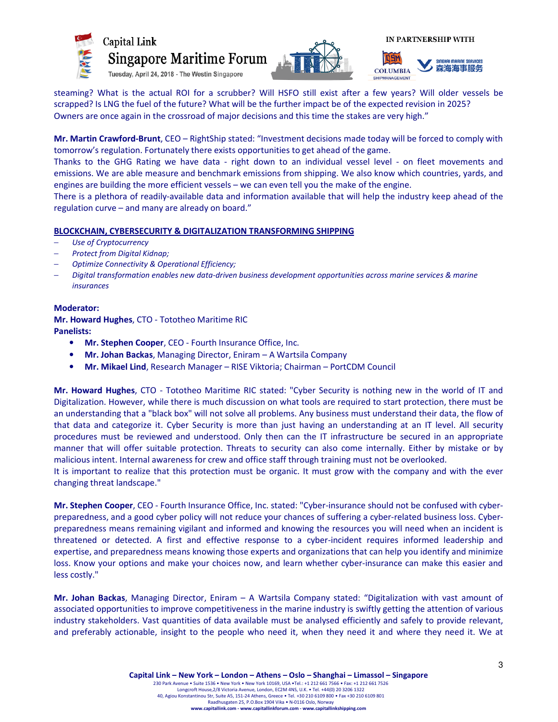





steaming? What is the actual ROI for a scrubber? Will HSFO still exist after a few years? Will older vessels be scrapped? Is LNG the fuel of the future? What will be the further impact be of the expected revision in 2025? Owners are once again in the crossroad of major decisions and this time the stakes are very high."

Mr. Martin Crawford-Brunt, CEO - RightShip stated: "Investment decisions made today will be forced to comply with tomorrow's regulation. Fortunately there exists opportunities to get ahead of the game.

Thanks to the GHG Rating we have data - right down to an individual vessel level - on fleet movements and emissions. We are able measure and benchmark emissions from shipping. We also know which countries, yards, and engines are building the more efficient vessels – we can even tell you the make of the engine.

There is a plethora of readily-available data and information available that will help the industry keep ahead of the regulation curve – and many are already on board."

# BLOCKCHAIN, CYBERSECURITY & DIGITALIZATION TRANSFORMING SHIPPING

- Use of Cryptocurrency
- − Protect from Digital Kidnap;
- − Optimize Connectivity & Operational Efficiency;
- − Digital transformation enables new data-driven business development opportunities across marine services & marine insurances

# Moderator:

Mr. Howard Hughes, CTO - Tototheo Maritime RIC Panelists:

- Mr. Stephen Cooper, CEO Fourth Insurance Office, Inc.
- Mr. Johan Backas, Managing Director, Eniram A Wartsila Company
- Mr. Mikael Lind, Research Manager RISE Viktoria; Chairman PortCDM Council

Mr. Howard Hughes, CTO - Tototheo Maritime RIC stated: "Cyber Security is nothing new in the world of IT and Digitalization. However, while there is much discussion on what tools are required to start protection, there must be an understanding that a "black box" will not solve all problems. Any business must understand their data, the flow of that data and categorize it. Cyber Security is more than just having an understanding at an IT level. All security procedures must be reviewed and understood. Only then can the IT infrastructure be secured in an appropriate manner that will offer suitable protection. Threats to security can also come internally. Either by mistake or by malicious intent. Internal awareness for crew and office staff through training must not be overlooked.

It is important to realize that this protection must be organic. It must grow with the company and with the ever changing threat landscape."

Mr. Stephen Cooper, CEO - Fourth Insurance Office, Inc. stated: "Cyber-insurance should not be confused with cyberpreparedness, and a good cyber policy will not reduce your chances of suffering a cyber-related business loss. Cyberpreparedness means remaining vigilant and informed and knowing the resources you will need when an incident is threatened or detected. A first and effective response to a cyber-incident requires informed leadership and expertise, and preparedness means knowing those experts and organizations that can help you identify and minimize loss. Know your options and make your choices now, and learn whether cyber-insurance can make this easier and less costly."

Mr. Johan Backas, Managing Director, Eniram – A Wartsila Company stated: "Digitalization with vast amount of associated opportunities to improve competitiveness in the marine industry is swiftly getting the attention of various industry stakeholders. Vast quantities of data available must be analysed efficiently and safely to provide relevant, and preferably actionable, insight to the people who need it, when they need it and where they need it. We at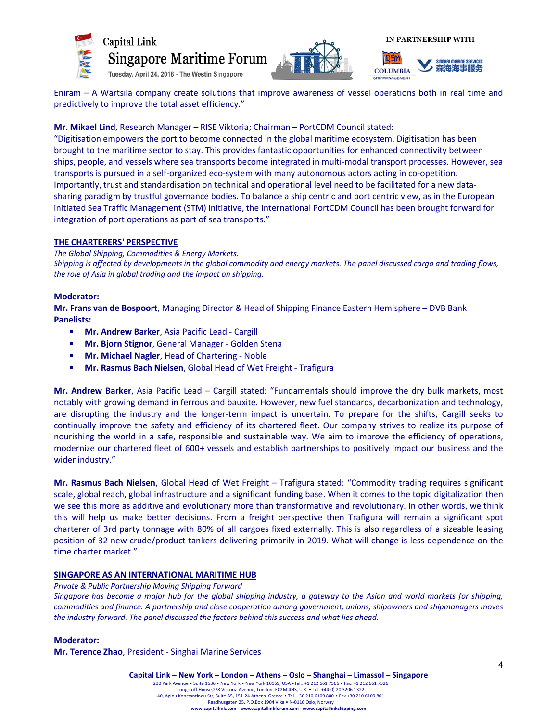





Eniram – A Wärtsilä company create solutions that improve awareness of vessel operations both in real time and predictively to improve the total asset efficiency."

# Mr. Mikael Lind, Research Manager – RISE Viktoria; Chairman – PortCDM Council stated:

"Digitisation empowers the port to become connected in the global maritime ecosystem. Digitisation has been brought to the maritime sector to stay. This provides fantastic opportunities for enhanced connectivity between ships, people, and vessels where sea transports become integrated in multi-modal transport processes. However, sea transports is pursued in a self-organized eco-system with many autonomous actors acting in co-opetition. Importantly, trust and standardisation on technical and operational level need to be facilitated for a new datasharing paradigm by trustful governance bodies. To balance a ship centric and port centric view, as in the European initiated Sea Traffic Management (STM) initiative, the International PortCDM Council has been brought forward for integration of port operations as part of sea transports."

# THE CHARTERERS' PERSPECTIVE

The Global Shipping, Commodities & Energy Markets. Shipping is affected by developments in the global commodity and energy markets. The panel discussed cargo and trading flows, the role of Asia in global trading and the impact on shipping.

# Moderator:

Mr. Frans van de Bospoort, Managing Director & Head of Shipping Finance Eastern Hemisphere – DVB Bank Panelists:

- Mr. Andrew Barker, Asia Pacific Lead Cargill
- Mr. Bjorn Stignor, General Manager Golden Stena
- Mr. Michael Nagler, Head of Chartering Noble
- Mr. Rasmus Bach Nielsen, Global Head of Wet Freight Trafigura

Mr. Andrew Barker, Asia Pacific Lead – Cargill stated: "Fundamentals should improve the dry bulk markets, most notably with growing demand in ferrous and bauxite. However, new fuel standards, decarbonization and technology, are disrupting the industry and the longer-term impact is uncertain. To prepare for the shifts, Cargill seeks to continually improve the safety and efficiency of its chartered fleet. Our company strives to realize its purpose of nourishing the world in a safe, responsible and sustainable way. We aim to improve the efficiency of operations, modernize our chartered fleet of 600+ vessels and establish partnerships to positively impact our business and the wider industry."

Mr. Rasmus Bach Nielsen, Global Head of Wet Freight - Trafigura stated: "Commodity trading requires significant scale, global reach, global infrastructure and a significant funding base. When it comes to the topic digitalization then we see this more as additive and evolutionary more than transformative and revolutionary. In other words, we think this will help us make better decisions. From a freight perspective then Trafigura will remain a significant spot charterer of 3rd party tonnage with 80% of all cargoes fixed externally. This is also regardless of a sizeable leasing position of 32 new crude/product tankers delivering primarily in 2019. What will change is less dependence on the time charter market."

# SINGAPORE AS AN INTERNATIONAL MARITIME HUB

Private & Public Partnership Moving Shipping Forward

Singapore has become a major hub for the global shipping industry, a gateway to the Asian and world markets for shipping, commodities and finance. A partnership and close cooperation among government, unions, shipowners and shipmanagers moves the industry forward. The panel discussed the factors behind this success and what lies ahead.

Moderator:

Mr. Terence Zhao, President - Singhai Marine Services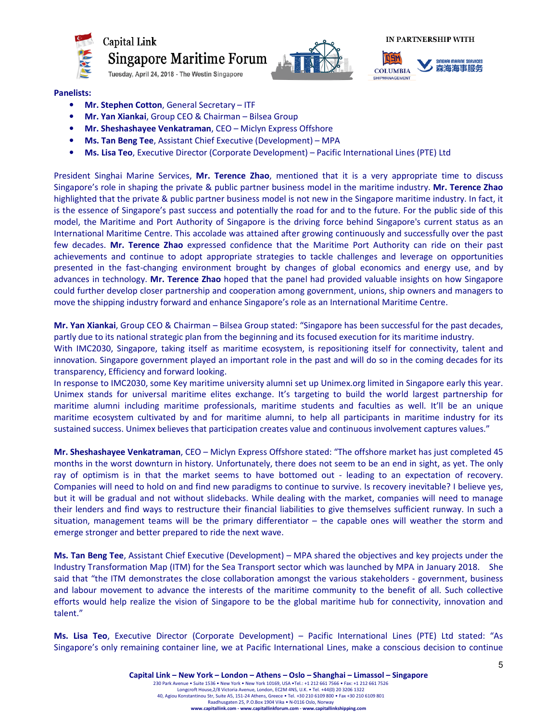

**Singapore Maritime Forum** 

Tuesday, April 24, 2018 - The Westin Singapore



**IN PARTNERSHIP WITH** 



#### Panelists:

- Mr. Stephen Cotton, General Secretary ITF
- Mr. Yan Xiankai, Group CEO & Chairman Bilsea Group
- Mr. Sheshashayee Venkatraman, CEO Miclyn Express Offshore
- Ms. Tan Beng Tee, Assistant Chief Executive (Development) MPA
- Ms. Lisa Teo, Executive Director (Corporate Development) Pacific International Lines (PTE) Ltd

President Singhai Marine Services, Mr. Terence Zhao, mentioned that it is a very appropriate time to discuss Singapore's role in shaping the private & public partner business model in the maritime industry. Mr. Terence Zhao highlighted that the private & public partner business model is not new in the Singapore maritime industry. In fact, it is the essence of Singapore's past success and potentially the road for and to the future. For the public side of this model, the Maritime and Port Authority of Singapore is the driving force behind Singapore's current status as an International Maritime Centre. This accolade was attained after growing continuously and successfully over the past few decades. Mr. Terence Zhao expressed confidence that the Maritime Port Authority can ride on their past achievements and continue to adopt appropriate strategies to tackle challenges and leverage on opportunities presented in the fast-changing environment brought by changes of global economics and energy use, and by advances in technology. Mr. Terence Zhao hoped that the panel had provided valuable insights on how Singapore could further develop closer partnership and cooperation among government, unions, ship owners and managers to move the shipping industry forward and enhance Singapore's role as an International Maritime Centre.

Mr. Yan Xiankai, Group CEO & Chairman – Bilsea Group stated: "Singapore has been successful for the past decades, partly due to its national strategic plan from the beginning and its focused execution for its maritime industry. With IMC2030, Singapore, taking itself as maritime ecosystem, is repositioning itself for connectivity, talent and innovation. Singapore government played an important role in the past and will do so in the coming decades for its transparency, Efficiency and forward looking.

In response to IMC2030, some Key maritime university alumni set up Unimex.org limited in Singapore early this year. Unimex stands for universal maritime elites exchange. It's targeting to build the world largest partnership for maritime alumni including maritime professionals, maritime students and faculties as well. It'll be an unique maritime ecosystem cultivated by and for maritime alumni, to help all participants in maritime industry for its sustained success. Unimex believes that participation creates value and continuous involvement captures values."

Mr. Sheshashayee Venkatraman, CEO - Miclyn Express Offshore stated: "The offshore market has just completed 45 months in the worst downturn in history. Unfortunately, there does not seem to be an end in sight, as yet. The only ray of optimism is in that the market seems to have bottomed out - leading to an expectation of recovery. Companies will need to hold on and find new paradigms to continue to survive. Is recovery inevitable? I believe yes, but it will be gradual and not without slidebacks. While dealing with the market, companies will need to manage their lenders and find ways to restructure their financial liabilities to give themselves sufficient runway. In such a situation, management teams will be the primary differentiator – the capable ones will weather the storm and emerge stronger and better prepared to ride the next wave.

Ms. Tan Beng Tee, Assistant Chief Executive (Development) – MPA shared the objectives and key projects under the Industry Transformation Map (ITM) for the Sea Transport sector which was launched by MPA in January 2018. She said that "the ITM demonstrates the close collaboration amongst the various stakeholders - government, business and labour movement to advance the interests of the maritime community to the benefit of all. Such collective efforts would help realize the vision of Singapore to be the global maritime hub for connectivity, innovation and talent."

Ms. Lisa Teo, Executive Director (Corporate Development) – Pacific International Lines (PTE) Ltd stated: "As Singapore's only remaining container line, we at Pacific International Lines, make a conscious decision to continue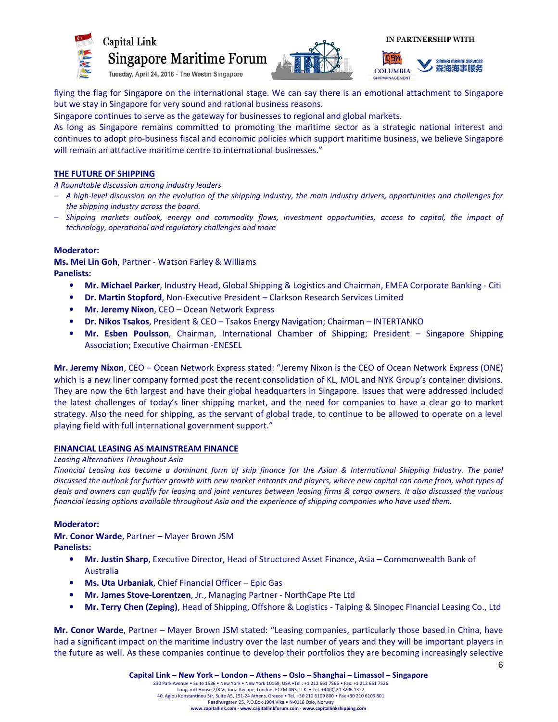





flying the flag for Singapore on the international stage. We can say there is an emotional attachment to Singapore but we stay in Singapore for very sound and rational business reasons.

Singapore continues to serve as the gateway for businesses to regional and global markets.

As long as Singapore remains committed to promoting the maritime sector as a strategic national interest and continues to adopt pro-business fiscal and economic policies which support maritime business, we believe Singapore will remain an attractive maritime centre to international businesses."

# THE FUTURE OF SHIPPING

A Roundtable discussion among industry leaders

- − A high-level discussion on the evolution of the shipping industry, the main industry drivers, opportunities and challenges for the shipping industry across the board.
- − Shipping markets outlook, energy and commodity flows, investment opportunities, access to capital, the impact of technology, operational and regulatory challenges and more

# Moderator:

Ms. Mei Lin Goh, Partner - Watson Farley & Williams Panelists:

- Mr. Michael Parker, Industry Head, Global Shipping & Logistics and Chairman, EMEA Corporate Banking Citi
- Dr. Martin Stopford, Non-Executive President Clarkson Research Services Limited
- Mr. Jeremy Nixon, CEO Ocean Network Express
- Dr. Nikos Tsakos, President & CEO Tsakos Energy Navigation; Chairman INTERTANKO
- Mr. Esben Poulsson, Chairman, International Chamber of Shipping; President Singapore Shipping Association; Executive Chairman -ENESEL

Mr. Jeremy Nixon, CEO – Ocean Network Express stated: "Jeremy Nixon is the CEO of Ocean Network Express (ONE) which is a new liner company formed post the recent consolidation of KL, MOL and NYK Group's container divisions. They are now the 6th largest and have their global headquarters in Singapore. Issues that were addressed included the latest challenges of today's liner shipping market, and the need for companies to have a clear go to market strategy. Also the need for shipping, as the servant of global trade, to continue to be allowed to operate on a level playing field with full international government support."

# FINANCIAL LEASING AS MAINSTREAM FINANCE

#### Leasing Alternatives Throughout Asia

Financial Leasing has become a dominant form of ship finance for the Asian & International Shipping Industry. The panel discussed the outlook for further growth with new market entrants and players, where new capital can come from, what types of deals and owners can qualify for leasing and joint ventures between leasing firms & cargo owners. It also discussed the various financial leasing options available throughout Asia and the experience of shipping companies who have used them.

# Moderator:

Mr. Conor Warde, Partner – Mayer Brown JSM Panelists:

- Mr. Justin Sharp, Executive Director, Head of Structured Asset Finance, Asia Commonwealth Bank of Australia
- Ms. Uta Urbaniak, Chief Financial Officer Epic Gas
- Mr. James Stove-Lorentzen, Jr., Managing Partner NorthCape Pte Ltd
- Mr. Terry Chen (Zeping), Head of Shipping, Offshore & Logistics Taiping & Sinopec Financial Leasing Co., Ltd

Mr. Conor Warde, Partner – Mayer Brown JSM stated: "Leasing companies, particularly those based in China, have had a significant impact on the maritime industry over the last number of years and they will be important players in the future as well. As these companies continue to develop their portfolios they are becoming increasingly selective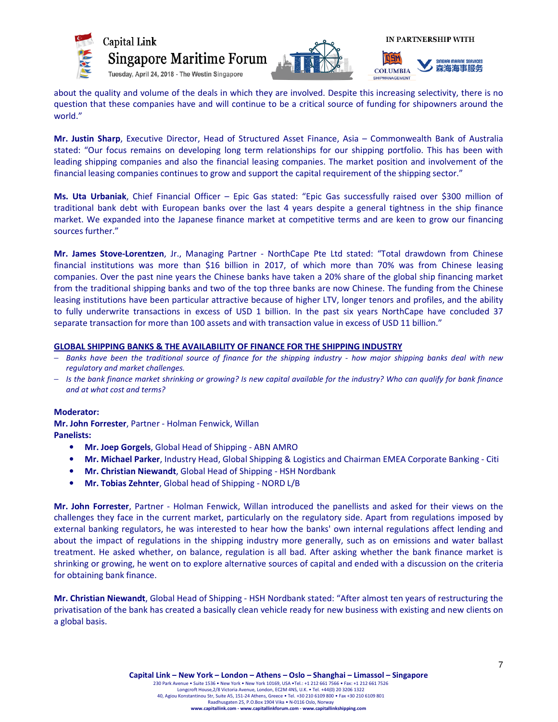



about the quality and volume of the deals in which they are involved. Despite this increasing selectivity, there is no question that these companies have and will continue to be a critical source of funding for shipowners around the world."

Mr. Justin Sharp, Executive Director, Head of Structured Asset Finance, Asia - Commonwealth Bank of Australia stated: "Our focus remains on developing long term relationships for our shipping portfolio. This has been with leading shipping companies and also the financial leasing companies. The market position and involvement of the financial leasing companies continues to grow and support the capital requirement of the shipping sector."

Ms. Uta Urbaniak, Chief Financial Officer – Epic Gas stated: "Epic Gas successfully raised over \$300 million of traditional bank debt with European banks over the last 4 years despite a general tightness in the ship finance market. We expanded into the Japanese finance market at competitive terms and are keen to grow our financing sources further."

Mr. James Stove-Lorentzen, Jr., Managing Partner - NorthCape Pte Ltd stated: "Total drawdown from Chinese financial institutions was more than \$16 billion in 2017, of which more than 70% was from Chinese leasing companies. Over the past nine years the Chinese banks have taken a 20% share of the global ship financing market from the traditional shipping banks and two of the top three banks are now Chinese. The funding from the Chinese leasing institutions have been particular attractive because of higher LTV, longer tenors and profiles, and the ability to fully underwrite transactions in excess of USD 1 billion. In the past six years NorthCape have concluded 37 separate transaction for more than 100 assets and with transaction value in excess of USD 11 billion."

#### GLOBAL SHIPPING BANKS & THE AVAILABILITY OF FINANCE FOR THE SHIPPING INDUSTRY

- − Banks have been the traditional source of finance for the shipping industry how major shipping banks deal with new regulatory and market challenges.
- − Is the bank finance market shrinking or growing? Is new capital available for the industry? Who can qualify for bank finance and at what cost and terms?

#### Moderator:

Mr. John Forrester, Partner - Holman Fenwick, Willan Panelists:

- Mr. Joep Gorgels, Global Head of Shipping ABN AMRO
- Mr. Michael Parker, Industry Head, Global Shipping & Logistics and Chairman EMEA Corporate Banking Citi
- Mr. Christian Niewandt, Global Head of Shipping HSH Nordbank
- Mr. Tobias Zehnter, Global head of Shipping NORD L/B

Mr. John Forrester, Partner - Holman Fenwick, Willan introduced the panellists and asked for their views on the challenges they face in the current market, particularly on the regulatory side. Apart from regulations imposed by external banking regulators, he was interested to hear how the banks' own internal regulations affect lending and about the impact of regulations in the shipping industry more generally, such as on emissions and water ballast treatment. He asked whether, on balance, regulation is all bad. After asking whether the bank finance market is shrinking or growing, he went on to explore alternative sources of capital and ended with a discussion on the criteria for obtaining bank finance.

Mr. Christian Niewandt, Global Head of Shipping - HSH Nordbank stated: "After almost ten years of restructuring the privatisation of the bank has created a basically clean vehicle ready for new business with existing and new clients on a global basis.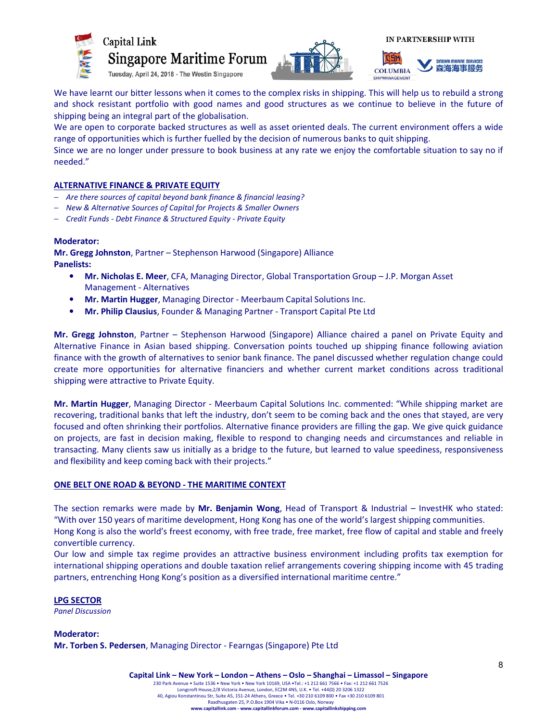

Capital Link **Singapore Maritime Forum** 





Tuesday, April 24, 2018 - The Westin Singapore

We have learnt our bitter lessons when it comes to the complex risks in shipping. This will help us to rebuild a strong and shock resistant portfolio with good names and good structures as we continue to believe in the future of shipping being an integral part of the globalisation.

We are open to corporate backed structures as well as asset oriented deals. The current environment offers a wide range of opportunities which is further fuelled by the decision of numerous banks to quit shipping.

Since we are no longer under pressure to book business at any rate we enjoy the comfortable situation to say no if needed."

# ALTERNATIVE FINANCE & PRIVATE EQUITY

- − Are there sources of capital beyond bank finance & financial leasing?
- − New & Alternative Sources of Capital for Projects & Smaller Owners
- − Credit Funds Debt Finance & Structured Equity Private Equity

# Moderator:

Mr. Gregg Johnston, Partner – Stephenson Harwood (Singapore) Alliance Panelists:

- Mr. Nicholas E. Meer, CFA, Managing Director, Global Transportation Group J.P. Morgan Asset Management - Alternatives
- Mr. Martin Hugger, Managing Director Meerbaum Capital Solutions Inc.
- Mr. Philip Clausius, Founder & Managing Partner Transport Capital Pte Ltd

Mr. Gregg Johnston, Partner - Stephenson Harwood (Singapore) Alliance chaired a panel on Private Equity and Alternative Finance in Asian based shipping. Conversation points touched up shipping finance following aviation finance with the growth of alternatives to senior bank finance. The panel discussed whether regulation change could create more opportunities for alternative financiers and whether current market conditions across traditional shipping were attractive to Private Equity.

Mr. Martin Hugger, Managing Director - Meerbaum Capital Solutions Inc. commented: "While shipping market are recovering, traditional banks that left the industry, don't seem to be coming back and the ones that stayed, are very focused and often shrinking their portfolios. Alternative finance providers are filling the gap. We give quick guidance on projects, are fast in decision making, flexible to respond to changing needs and circumstances and reliable in transacting. Many clients saw us initially as a bridge to the future, but learned to value speediness, responsiveness and flexibility and keep coming back with their projects."

# ONE BELT ONE ROAD & BEYOND - THE MARITIME CONTEXT

The section remarks were made by Mr. Benjamin Wong, Head of Transport & Industrial – InvestHK who stated: "With over 150 years of maritime development, Hong Kong has one of the world's largest shipping communities. Hong Kong is also the world's freest economy, with free trade, free market, free flow of capital and stable and freely convertible currency.

Our low and simple tax regime provides an attractive business environment including profits tax exemption for international shipping operations and double taxation relief arrangements covering shipping income with 45 trading partners, entrenching Hong Kong's position as a diversified international maritime centre."

LPG SECTOR Panel Discussion

Moderator: Mr. Torben S. Pedersen, Managing Director - Fearngas (Singapore) Pte Ltd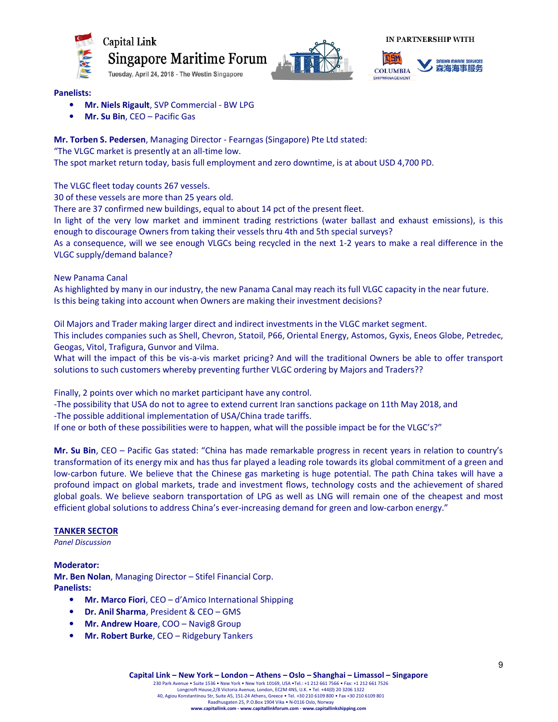







#### Panelists:

- Mr. Niels Rigault, SVP Commercial BW LPG
- Mr. Su Bin, CEO Pacific Gas

# Mr. Torben S. Pedersen, Managing Director - Fearngas (Singapore) Pte Ltd stated:

"The VLGC market is presently at an all-time low.

The spot market return today, basis full employment and zero downtime, is at about USD 4,700 PD.

The VLGC fleet today counts 267 vessels.

30 of these vessels are more than 25 years old.

There are 37 confirmed new buildings, equal to about 14 pct of the present fleet.

In light of the very low market and imminent trading restrictions (water ballast and exhaust emissions), is this enough to discourage Owners from taking their vessels thru 4th and 5th special surveys?

As a consequence, will we see enough VLGCs being recycled in the next 1-2 years to make a real difference in the VLGC supply/demand balance?

New Panama Canal

As highlighted by many in our industry, the new Panama Canal may reach its full VLGC capacity in the near future. Is this being taking into account when Owners are making their investment decisions?

Oil Majors and Trader making larger direct and indirect investments in the VLGC market segment.

This includes companies such as Shell, Chevron, Statoil, P66, Oriental Energy, Astomos, Gyxis, Eneos Globe, Petredec, Geogas, Vitol, Trafigura, Gunvor and Vilma.

What will the impact of this be vis-a-vis market pricing? And will the traditional Owners be able to offer transport solutions to such customers whereby preventing further VLGC ordering by Majors and Traders??

Finally, 2 points over which no market participant have any control.

-The possibility that USA do not to agree to extend current Iran sanctions package on 11th May 2018, and

-The possible additional implementation of USA/China trade tariffs.

If one or both of these possibilities were to happen, what will the possible impact be for the VLGC's?"

Mr. Su Bin, CEO – Pacific Gas stated: "China has made remarkable progress in recent years in relation to country's transformation of its energy mix and has thus far played a leading role towards its global commitment of a green and low-carbon future. We believe that the Chinese gas marketing is huge potential. The path China takes will have a profound impact on global markets, trade and investment flows, technology costs and the achievement of shared global goals. We believe seaborn transportation of LPG as well as LNG will remain one of the cheapest and most efficient global solutions to address China's ever-increasing demand for green and low-carbon energy."

# TANKER SECTOR

Panel Discussion

Moderator: Mr. Ben Nolan, Managing Director – Stifel Financial Corp. Panelists:

- Mr. Marco Fiori, CEO d'Amico International Shipping
- Dr. Anil Sharma, President & CEO GMS
- Mr. Andrew Hoare, COO Navig8 Group
- Mr. Robert Burke, CEO Ridgebury Tankers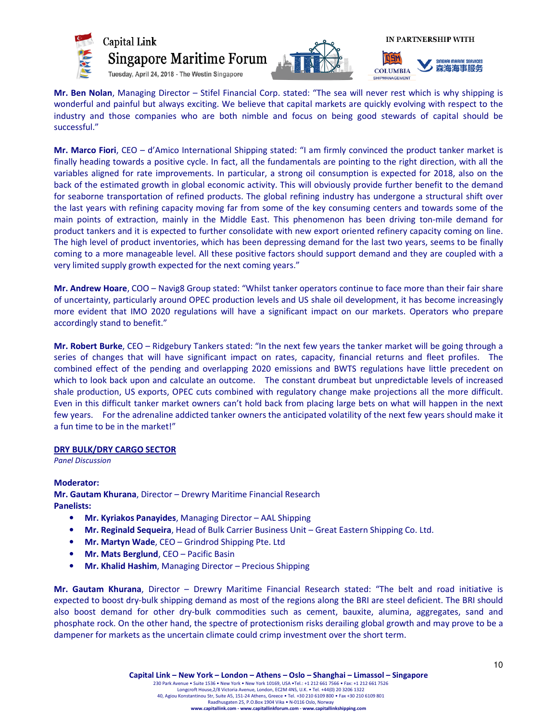



Mr. Ben Nolan, Managing Director – Stifel Financial Corp. stated: "The sea will never rest which is why shipping is wonderful and painful but always exciting. We believe that capital markets are quickly evolving with respect to the industry and those companies who are both nimble and focus on being good stewards of capital should be successful."

Mr. Marco Fiori, CEO – d'Amico International Shipping stated: "I am firmly convinced the product tanker market is finally heading towards a positive cycle. In fact, all the fundamentals are pointing to the right direction, with all the variables aligned for rate improvements. In particular, a strong oil consumption is expected for 2018, also on the back of the estimated growth in global economic activity. This will obviously provide further benefit to the demand for seaborne transportation of refined products. The global refining industry has undergone a structural shift over the last years with refining capacity moving far from some of the key consuming centers and towards some of the main points of extraction, mainly in the Middle East. This phenomenon has been driving ton-mile demand for product tankers and it is expected to further consolidate with new export oriented refinery capacity coming on line. The high level of product inventories, which has been depressing demand for the last two years, seems to be finally coming to a more manageable level. All these positive factors should support demand and they are coupled with a very limited supply growth expected for the next coming years."

Mr. Andrew Hoare, COO – Navig8 Group stated: "Whilst tanker operators continue to face more than their fair share of uncertainty, particularly around OPEC production levels and US shale oil development, it has become increasingly more evident that IMO 2020 regulations will have a significant impact on our markets. Operators who prepare accordingly stand to benefit."

Mr. Robert Burke, CEO – Ridgebury Tankers stated: "In the next few years the tanker market will be going through a series of changes that will have significant impact on rates, capacity, financial returns and fleet profiles. The combined effect of the pending and overlapping 2020 emissions and BWTS regulations have little precedent on which to look back upon and calculate an outcome. The constant drumbeat but unpredictable levels of increased shale production, US exports, OPEC cuts combined with regulatory change make projections all the more difficult. Even in this difficult tanker market owners can't hold back from placing large bets on what will happen in the next few years. For the adrenaline addicted tanker owners the anticipated volatility of the next few years should make it a fun time to be in the market!"

#### DRY BULK/DRY CARGO SECTOR

Panel Discussion

#### Moderator:

Mr. Gautam Khurana, Director – Drewry Maritime Financial Research Panelists:

- Mr. Kyriakos Panayides, Managing Director AAL Shipping
- Mr. Reginald Sequeira, Head of Bulk Carrier Business Unit Great Eastern Shipping Co. Ltd.
- Mr. Martyn Wade, CEO Grindrod Shipping Pte. Ltd
- Mr. Mats Berglund, CEO Pacific Basin
- Mr. Khalid Hashim, Managing Director Precious Shipping

Mr. Gautam Khurana, Director - Drewry Maritime Financial Research stated: "The belt and road initiative is expected to boost dry-bulk shipping demand as most of the regions along the BRI are steel deficient. The BRI should also boost demand for other dry-bulk commodities such as cement, bauxite, alumina, aggregates, sand and phosphate rock. On the other hand, the spectre of protectionism risks derailing global growth and may prove to be a dampener for markets as the uncertain climate could crimp investment over the short term.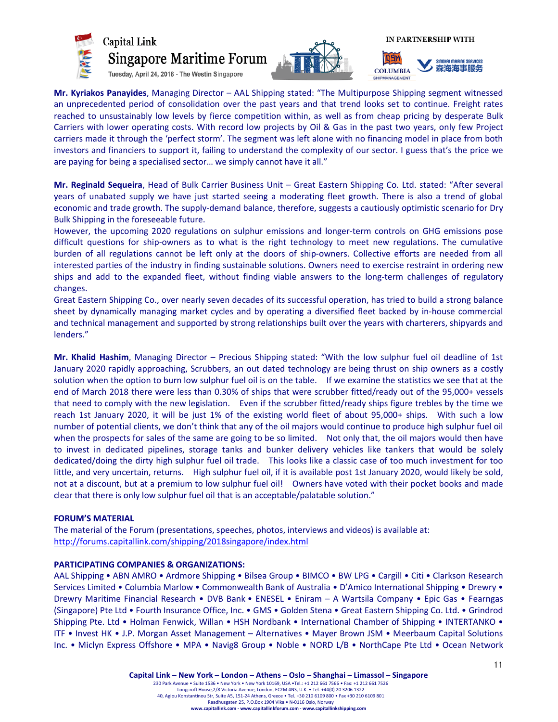





Mr. Kyriakos Panayides, Managing Director - AAL Shipping stated: "The Multipurpose Shipping segment witnessed an unprecedented period of consolidation over the past years and that trend looks set to continue. Freight rates reached to unsustainably low levels by fierce competition within, as well as from cheap pricing by desperate Bulk Carriers with lower operating costs. With record low projects by Oil & Gas in the past two years, only few Project carriers made it through the 'perfect storm'. The segment was left alone with no financing model in place from both investors and financiers to support it, failing to understand the complexity of our sector. I guess that's the price we are paying for being a specialised sector… we simply cannot have it all."

Mr. Reginald Sequeira, Head of Bulk Carrier Business Unit - Great Eastern Shipping Co. Ltd. stated: "After several years of unabated supply we have just started seeing a moderating fleet growth. There is also a trend of global economic and trade growth. The supply-demand balance, therefore, suggests a cautiously optimistic scenario for Dry Bulk Shipping in the foreseeable future.

However, the upcoming 2020 regulations on sulphur emissions and longer-term controls on GHG emissions pose difficult questions for ship-owners as to what is the right technology to meet new regulations. The cumulative burden of all regulations cannot be left only at the doors of ship-owners. Collective efforts are needed from all interested parties of the industry in finding sustainable solutions. Owners need to exercise restraint in ordering new ships and add to the expanded fleet, without finding viable answers to the long-term challenges of regulatory changes.

Great Eastern Shipping Co., over nearly seven decades of its successful operation, has tried to build a strong balance sheet by dynamically managing market cycles and by operating a diversified fleet backed by in-house commercial and technical management and supported by strong relationships built over the years with charterers, shipyards and lenders."

Mr. Khalid Hashim, Managing Director – Precious Shipping stated: "With the low sulphur fuel oil deadline of 1st January 2020 rapidly approaching, Scrubbers, an out dated technology are being thrust on ship owners as a costly solution when the option to burn low sulphur fuel oil is on the table. If we examine the statistics we see that at the end of March 2018 there were less than 0.30% of ships that were scrubber fitted/ready out of the 95,000+ vessels that need to comply with the new legislation. Even if the scrubber fitted/ready ships figure trebles by the time we reach 1st January 2020, it will be just 1% of the existing world fleet of about 95,000+ ships. With such a low number of potential clients, we don't think that any of the oil majors would continue to produce high sulphur fuel oil when the prospects for sales of the same are going to be so limited. Not only that, the oil majors would then have to invest in dedicated pipelines, storage tanks and bunker delivery vehicles like tankers that would be solely dedicated/doing the dirty high sulphur fuel oil trade. This looks like a classic case of too much investment for too little, and very uncertain, returns. High sulphur fuel oil, if it is available post 1st January 2020, would likely be sold, not at a discount, but at a premium to low sulphur fuel oil! Owners have voted with their pocket books and made clear that there is only low sulphur fuel oil that is an acceptable/palatable solution."

#### FORUM'S MATERIAL

The material of the Forum (presentations, speeches, photos, interviews and videos) is available at: http://forums.capitallink.com/shipping/2018singapore/index.html

# PARTICIPATING COMPANIES & ORGANIZATIONS:

AAL Shipping • ABN AMRO • Ardmore Shipping • Bilsea Group • BIMCO • BW LPG • Cargill • Citi • Clarkson Research Services Limited • Columbia Marlow • Commonwealth Bank of Australia • D'Amico International Shipping • Drewry • Drewry Maritime Financial Research • DVB Bank • ENESEL • Eniram – A Wartsila Company • Epic Gas • Fearngas (Singapore) Pte Ltd • Fourth Insurance Office, Inc. • GMS • Golden Stena • Great Eastern Shipping Co. Ltd. • Grindrod Shipping Pte. Ltd • Holman Fenwick, Willan • HSH Nordbank • International Chamber of Shipping • INTERTANKO • ITF • Invest HK • J.P. Morgan Asset Management – Alternatives • Mayer Brown JSM • Meerbaum Capital Solutions Inc. • Miclyn Express Offshore • MPA • Navig8 Group • Noble • NORD L/B • NorthCape Pte Ltd • Ocean Network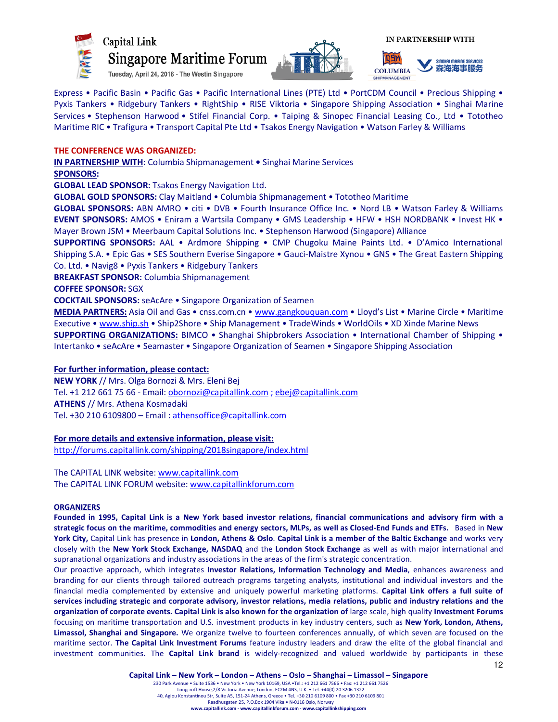





Express • Pacific Basin • Pacific Gas • Pacific International Lines (PTE) Ltd • PortCDM Council • Precious Shipping • Pyxis Tankers • Ridgebury Tankers • RightShip • RISE Viktoria • Singapore Shipping Association • Singhai Marine Services • Stephenson Harwood • Stifel Financial Corp. • Taiping & Sinopec Financial Leasing Co., Ltd • Tototheo Maritime RIC • Trafigura • Transport Capital Pte Ltd • Tsakos Energy Navigation • Watson Farley & Williams

# THE CONFERENCE WAS ORGANIZED:

IN PARTNERSHIP WITH: Columbia Shipmanagement • Singhai Marine Services

#### SPONSORS:

GLOBAL LEAD SPONSOR: Tsakos Energy Navigation Ltd.

GLOBAL GOLD SPONSORS: Clay Maitland • Columbia Shipmanagement • Tototheo Maritime

GLOBAL SPONSORS: ABN AMRO • citi • DVB • Fourth Insurance Office Inc. • Nord LB • Watson Farley & Williams EVENT SPONSORS: AMOS • Eniram a Wartsila Company • GMS Leadership • HFW • HSH NORDBANK • Invest HK • Mayer Brown JSM • Meerbaum Capital Solutions Inc. • Stephenson Harwood (Singapore) Alliance

SUPPORTING SPONSORS: AAL • Ardmore Shipping • CMP Chugoku Maine Paints Ltd. • D'Amico International Shipping S.A. • Epic Gas • SES Southern Everise Singapore • Gauci-Maistre Xynou • GNS • The Great Eastern Shipping Co. Ltd. • Navig8 • Pyxis Tankers • Ridgebury Tankers

BREAKFAST SPONSOR: Columbia Shipmanagement

COFFEE SPONSOR: SGX

COCKTAIL SPONSORS: seAcAre • Singapore Organization of Seamen

MEDIA PARTNERS: Asia Oil and Gas • cnss.com.cn • www.gangkouquan.com • Lloyd's List • Marine Circle • Maritime Executive • www.ship.sh • Ship2Shore • Ship Management • TradeWinds • WorldOils • XD Xinde Marine News SUPPORTING ORGANIZATIONS: BIMCO • Shanghai Shipbrokers Association • International Chamber of Shipping • Intertanko • seAcAre • Seamaster • Singapore Organization of Seamen • Singapore Shipping Association

#### For further information, please contact:

NEW YORK // Mrs. Olga Bornozi & Mrs. Eleni Bej Tel. +1 212 661 75 66 - Email: obornozi@capitallink.com ; ebej@capitallink.com ATHENS // Mrs. Athena Kosmadaki Tel. +30 210 6109800 – Email : athensoffice@capitallink.com

#### For more details and extensive information, please visit:

http://forums.capitallink.com/shipping/2018singapore/index.html

The CAPITAL LINK website: www.capitallink.com The CAPITAL LINK FORUM website: www.capitallinkforum.com

#### **ORGANIZERS**

Founded in 1995, Capital Link is a New York based investor relations, financial communications and advisory firm with a strategic focus on the maritime, commodities and energy sectors, MLPs, as well as Closed-End Funds and ETFs. Based in New York City, Capital Link has presence in London, Athens & Oslo. Capital Link is a member of the Baltic Exchange and works very closely with the New York Stock Exchange, NASDAQ and the London Stock Exchange as well as with major international and supranational organizations and industry associations in the areas of the firm's strategic concentration.

Our proactive approach, which integrates Investor Relations, Information Technology and Media, enhances awareness and branding for our clients through tailored outreach programs targeting analysts, institutional and individual investors and the financial media complemented by extensive and uniquely powerful marketing platforms. Capital Link offers a full suite of services including strategic and corporate advisory, investor relations, media relations, public and industry relations and the organization of corporate events. Capital Link is also known for the organization of large scale, high quality Investment Forums focusing on maritime transportation and U.S. investment products in key industry centers, such as New York, London, Athens, Limassol, Shanghai and Singapore. We organize twelve to fourteen conferences annually, of which seven are focused on the maritime sector. The Capital Link Investment Forums feature industry leaders and draw the elite of the global financial and investment communities. The Capital Link brand is widely-recognized and valued worldwide by participants in these